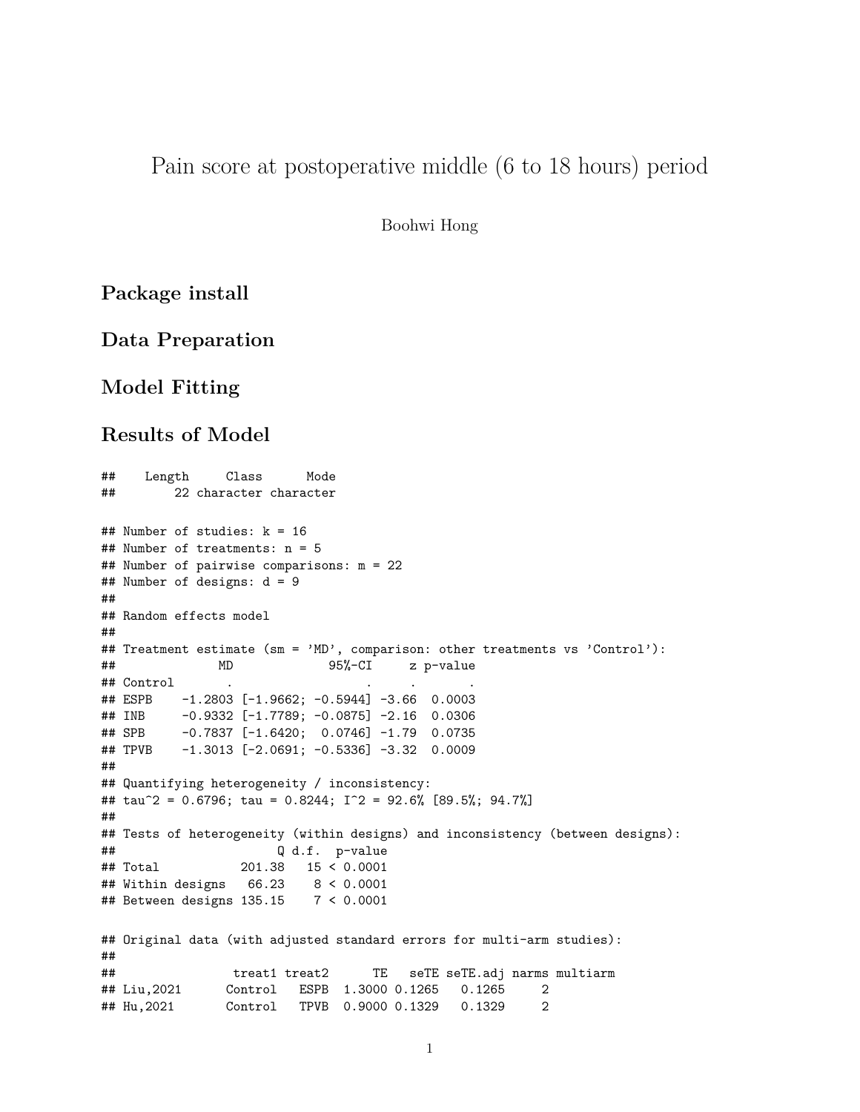Pain score at postoperative middle (6 to 18 hours) period

Boohwi Hong

**Package install**

**Data Preparation**

### **Model Fitting**

#### **Results of Model**

```
## Length Class Mode
## 22 character character
## Number of studies: k = 16
## Number of treatments: n = 5
## Number of pairwise comparisons: m = 22
## Number of designs: d = 9
##
## Random effects model
##
## Treatment estimate (sm = 'MD', comparison: other treatments vs 'Control'):
## MD 95%-CI z p-value
## Control . . . .
## ESPB -1.2803 [-1.9662; -0.5944] -3.66 0.0003
## INB -0.9332 [-1.7789; -0.0875] -2.16 0.0306
## SPB -0.7837 [-1.6420; 0.0746] -1.79 0.0735
## TPVB -1.3013 [-2.0691; -0.5336] -3.32 0.0009
##
## Quantifying heterogeneity / inconsistency:
## tau^2 = 0.6796; tau = 0.8244; I^2 = 92.6% [89.5%; 94.7%]
##
## Tests of heterogeneity (within designs) and inconsistency (between designs):
## Q d.f. p-value
## Total 201.38 15 < 0.0001
## Within designs 66.23 8 < 0.0001
## Between designs 135.15 7 < 0.0001
## Original data (with adjusted standard errors for multi-arm studies):
##
## treat1 treat2 TE seTE seTE.adj narms multiarm
## Liu,2021 Control ESPB 1.3000 0.1265 0.1265 2
## Hu,2021 Control TPVB 0.9000 0.1329 0.1329 2
```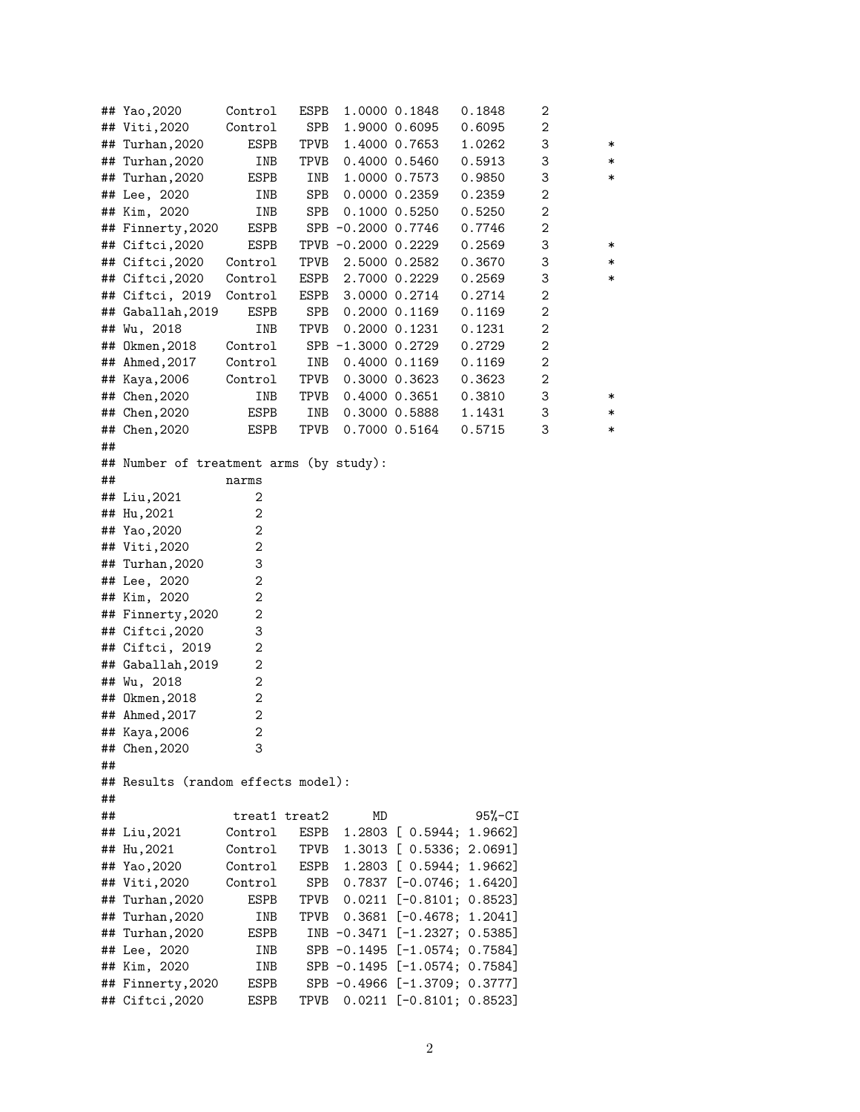|    | ## Yao, 2020                            | Control        | ESPB |                     | 1.0000 0.1848     | 0.1848                        | 2 |        |
|----|-----------------------------------------|----------------|------|---------------------|-------------------|-------------------------------|---|--------|
|    | ## Viti, 2020                           | Control        | SPB  |                     | 1.9000 0.6095     | 0.6095                        | 2 |        |
|    | ## Turhan, 2020                         | ESPB           | TPVB |                     | 1.4000 0.7653     | 1.0262                        | 3 | ∗      |
|    | ## Turhan, 2020                         | INB            | TPVB |                     | 0.4000 0.5460     | 0.5913                        | 3 | ∗      |
|    | ## Turhan, 2020                         | ESPB           | INB  |                     | 1.0000 0.7573     | 0.9850                        | 3 | $\ast$ |
|    | ## Lee, 2020                            | INB            | SPB  |                     | 0.0000 0.2359     | 0.2359                        | 2 |        |
|    | ## Kim, 2020                            | INB            | SPB  |                     | $0.1000$ $0.5250$ | 0.5250                        | 2 |        |
|    | ## Finnerty, 2020                       | ESPB           |      | SPB -0.2000 0.7746  |                   | 0.7746                        | 2 |        |
|    | ## Ciftci, 2020                         | ESPB           |      | TPVB -0.2000 0.2229 |                   | 0.2569                        | 3 | ∗      |
|    | ## Ciftci, 2020                         | Control        | TPVB |                     | 2.5000 0.2582     | 0.3670                        | 3 | $\ast$ |
|    | ## Ciftci, 2020                         | Control        | ESPB |                     | 2.7000 0.2229     | 0.2569                        | 3 | $\ast$ |
|    | ## Ciftci, 2019                         | Control        | ESPB |                     | 3.0000 0.2714     | 0.2714                        | 2 |        |
|    | ## Gaballah, 2019                       | ESPB           | SPB  |                     | $0.2000$ $0.1169$ | 0.1169                        | 2 |        |
|    | ## Wu, 2018                             | INB            | TPVB |                     | $0.2000$ $0.1231$ | 0.1231                        | 2 |        |
|    | ## Okmen,2018                           | Control        |      | SPB -1.3000 0.2729  |                   | 0.2729                        | 2 |        |
|    | ## Ahmed, 2017                          | Control        | INB  |                     | $0.4000$ $0.1169$ | 0.1169                        | 2 |        |
|    | ## Kaya, 2006                           | Control        | TPVB |                     | $0.3000$ $0.3623$ | 0.3623                        | 2 |        |
|    | ## Chen,2020                            | INB            | TPVB |                     | 0.4000 0.3651     | 0.3810                        | 3 | ∗      |
|    | ## Chen,2020                            | ESPB           | INB  |                     | 0.3000 0.5888     | 1.1431                        | 3 | ∗      |
|    | ## Chen, 2020                           | ESPB           | TPVB |                     | 0.7000 0.5164     | 0.5715                        | 3 | $\ast$ |
| ## |                                         |                |      |                     |                   |                               |   |        |
|    | ## Number of treatment arms (by study): |                |      |                     |                   |                               |   |        |
| ## |                                         | narms          |      |                     |                   |                               |   |        |
|    | ## Liu,2021                             | 2              |      |                     |                   |                               |   |        |
|    | ## Hu, 2021                             | 2              |      |                     |                   |                               |   |        |
|    | ## Yao, 2020                            | 2              |      |                     |                   |                               |   |        |
|    | ## Viti,2020                            | 2              |      |                     |                   |                               |   |        |
| ## | Turhan,2020                             | 3              |      |                     |                   |                               |   |        |
|    | ## Lee, 2020                            | 2              |      |                     |                   |                               |   |        |
|    | ## Kim, 2020                            | 2              |      |                     |                   |                               |   |        |
|    | ## Finnerty, 2020                       | 2              |      |                     |                   |                               |   |        |
|    | ## Ciftci, 2020                         | 3              |      |                     |                   |                               |   |        |
|    | ## Ciftci, 2019                         | 2              |      |                     |                   |                               |   |        |
|    | ## Gaballah, 2019                       | 2              |      |                     |                   |                               |   |        |
| ## | Wu, 2018                                | 2              |      |                     |                   |                               |   |        |
|    | ## Okmen, 2018                          | 2              |      |                     |                   |                               |   |        |
|    | ## Ahmed, 2017                          | 2              |      |                     |                   |                               |   |        |
|    | ## Kaya, 2006                           | $\overline{c}$ |      |                     |                   |                               |   |        |
|    | ## Chen, 2020                           | 3              |      |                     |                   |                               |   |        |
| ## |                                         |                |      |                     |                   |                               |   |        |
|    | ## Results (random effects model):      |                |      |                     |                   |                               |   |        |
| ## |                                         |                |      |                     |                   |                               |   |        |
| ## |                                         | treat1 treat2  |      | MD                  |                   | $95% - CI$                    |   |        |
|    | ## Liu,2021                             | Control        | ESPB |                     | 1.2803 [ 0.5944;  | 1.9662]                       |   |        |
|    | ## Hu, 2021                             | Control        | TPVB |                     |                   | 1.3013 [ 0.5336; 2.0691]      |   |        |
|    | ## Yao, 2020                            | Control        | ESPB |                     |                   | 1.2803 [ 0.5944; 1.9662]      |   |        |
|    | ## Viti,2020                            | Control        | SPB  |                     |                   | $0.7837$ [-0.0746; 1.6420]    |   |        |
| ## | Turhan, 2020                            | ESPB           | TPVB |                     |                   | $0.0211$ [-0.8101; 0.8523]    |   |        |
|    | ## Turhan, 2020                         | INB            | TPVB |                     |                   | $0.3681$ [-0.4678; 1.2041]    |   |        |
|    | ## Turhan, 2020                         | ESPB           |      |                     |                   | INB -0.3471 [-1.2327; 0.5385] |   |        |
|    | ## Lee, 2020                            | INB            |      |                     |                   | SPB -0.1495 [-1.0574; 0.7584] |   |        |
|    | ## Kim, 2020                            | INB            |      |                     |                   | SPB -0.1495 [-1.0574; 0.7584] |   |        |
|    | ## Finnerty, 2020                       | ESPB           |      |                     |                   | SPB -0.4966 [-1.3709; 0.3777] |   |        |
|    | ## Ciftci, 2020                         | ESPB           | TPVB |                     |                   | $0.0211$ [-0.8101; 0.8523]    |   |        |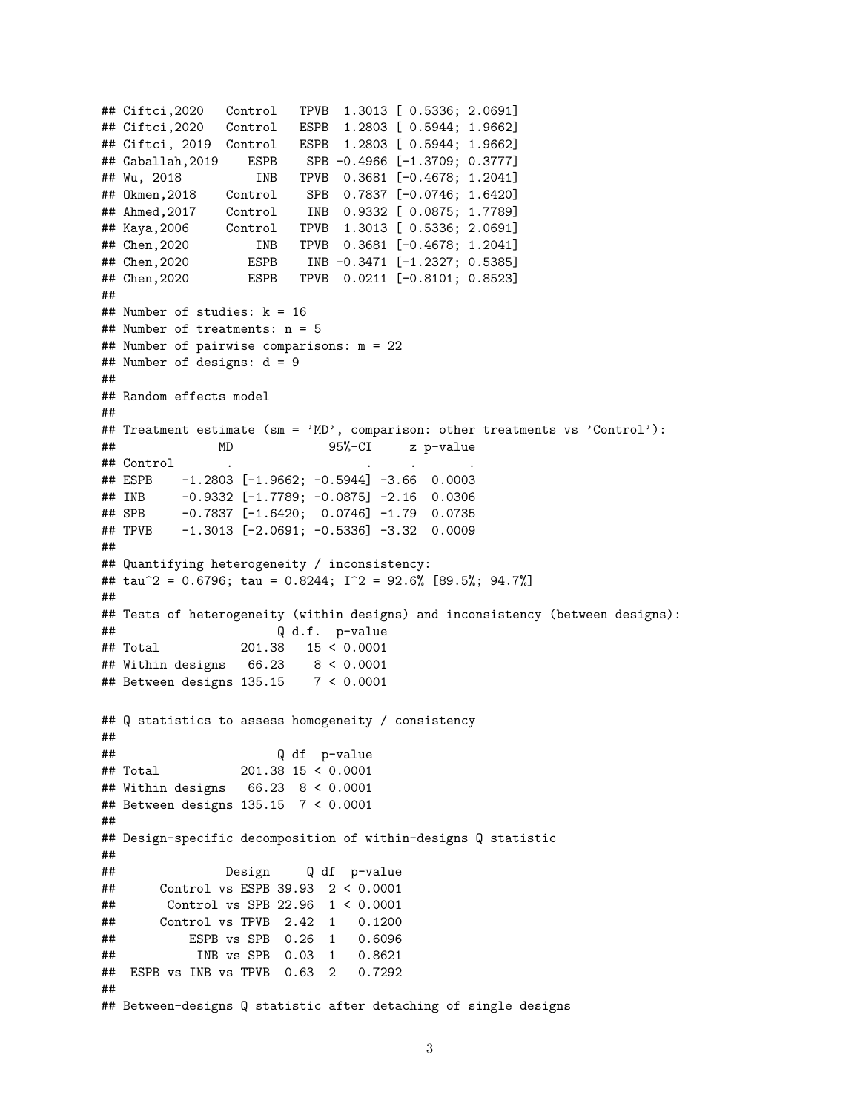```
## Ciftci,2020 Control TPVB 1.3013 [ 0.5336; 2.0691]
## Ciftci,2020 Control ESPB 1.2803 [ 0.5944; 1.9662]
## Ciftci, 2019 Control ESPB 1.2803 [ 0.5944; 1.9662]
## Gaballah,2019 ESPB SPB -0.4966 [-1.3709; 0.3777]
## Wu, 2018 INB TPVB 0.3681 [-0.4678; 1.2041]
## Okmen,2018 Control SPB 0.7837 [-0.0746; 1.6420]
## Ahmed,2017 Control INB 0.9332 [ 0.0875; 1.7789]
## Kaya,2006 Control TPVB 1.3013 [ 0.5336; 2.0691]
## Chen,2020 INB TPVB 0.3681 [-0.4678; 1.2041]
## Chen,2020 ESPB INB -0.3471 [-1.2327; 0.5385]
## Chen,2020 ESPB TPVB 0.0211 [-0.8101; 0.8523]
##
## Number of studies: k = 16
## Number of treatments: n = 5
## Number of pairwise comparisons: m = 22
## Number of designs: d = 9
##
## Random effects model
##
## Treatment estimate (sm = 'MD', comparison: other treatments vs 'Control'):
## MD 95%-CI z p-value
## Control
## ESPB -1.2803 [-1.9662; -0.5944] -3.66 0.0003
## INB -0.9332 [-1.7789; -0.0875] -2.16 0.0306
## SPB -0.7837 [-1.6420; 0.0746] -1.79 0.0735
## TPVB -1.3013 [-2.0691; -0.5336] -3.32 0.0009
##
## Quantifying heterogeneity / inconsistency:
## tau^2 = 0.6796; tau = 0.8244; I^2 = 92.6% [89.5%; 94.7%]
##
## Tests of heterogeneity (within designs) and inconsistency (between designs):
## Q d.f. p-value
## Total 201.38 15 < 0.0001
## Within designs 66.23 8 < 0.0001
## Between designs 135.15 7 < 0.0001
## Q statistics to assess homogeneity / consistency
##
## Q df p-value
## Total 201.38 15 < 0.0001
## Within designs 66.23 8 < 0.0001
## Between designs 135.15 7 < 0.0001
##
## Design-specific decomposition of within-designs Q statistic
##
## Design Q df p-value
## Control vs ESPB 39.93 2 < 0.0001
## Control vs SPB 22.96 1 < 0.0001
## Control vs TPVB 2.42 1 0.1200
## ESPB vs SPB 0.26 1 0.6096
## INB vs SPB 0.03 1 0.8621
## ESPB vs INB vs TPVB 0.63 2 0.7292
##
## Between-designs Q statistic after detaching of single designs
```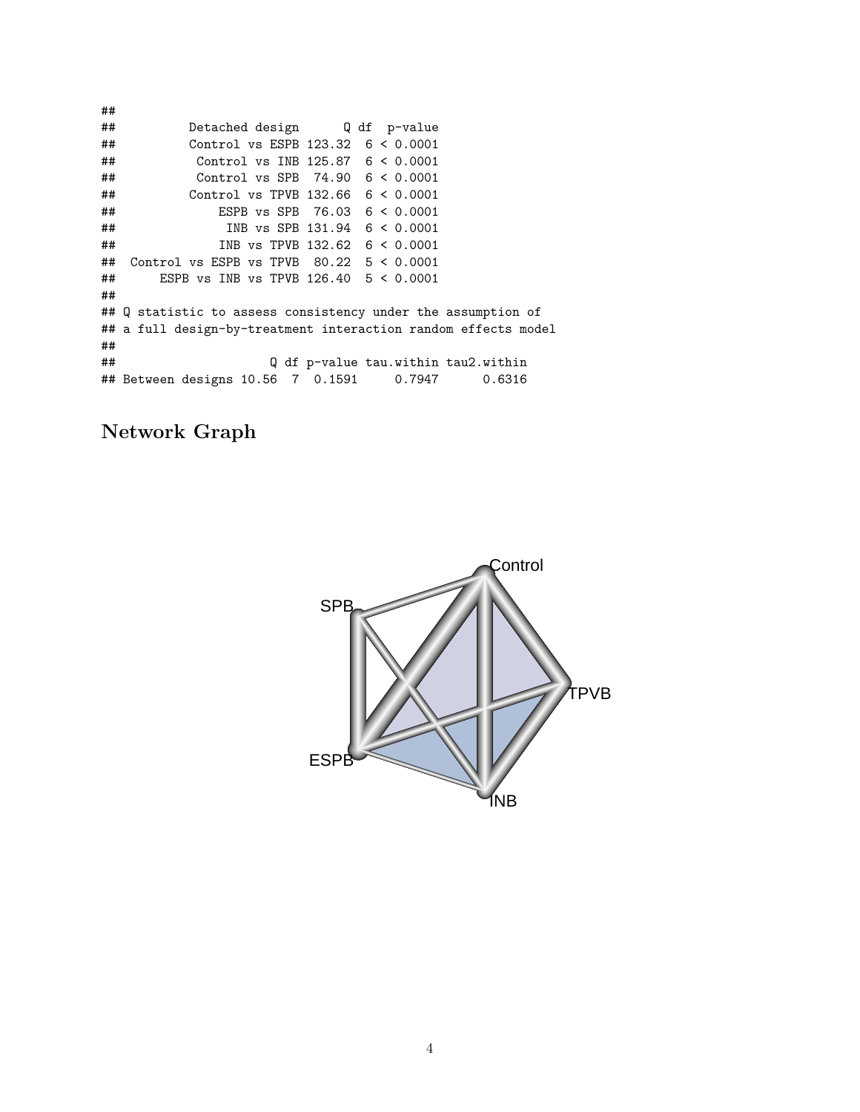## ## Detached design Q df p-value ## Control vs ESPB 123.32 6 < 0.0001 ## Control vs INB 125.87 6 < 0.0001 ## Control vs SPB 74.90 6 < 0.0001 ## Control vs TPVB 132.66 6 < 0.0001 ## ESPB vs SPB 76.03 6 < 0.0001 ## INB vs SPB 131.94 6 < 0.0001 ## INB vs TPVB 132.62 6 < 0.0001 ## Control vs ESPB vs TPVB 80.22 5 < 0.0001 ## ESPB vs INB vs TPVB 126.40 5 < 0.0001 ## ## Q statistic to assess consistency under the assumption of ## a full design-by-treatment interaction random effects model ##<br>## Q df p-value tau.within tau2.within ## Between designs 10.56 7 0.1591 0.7947 0.6316

### **Network Graph**

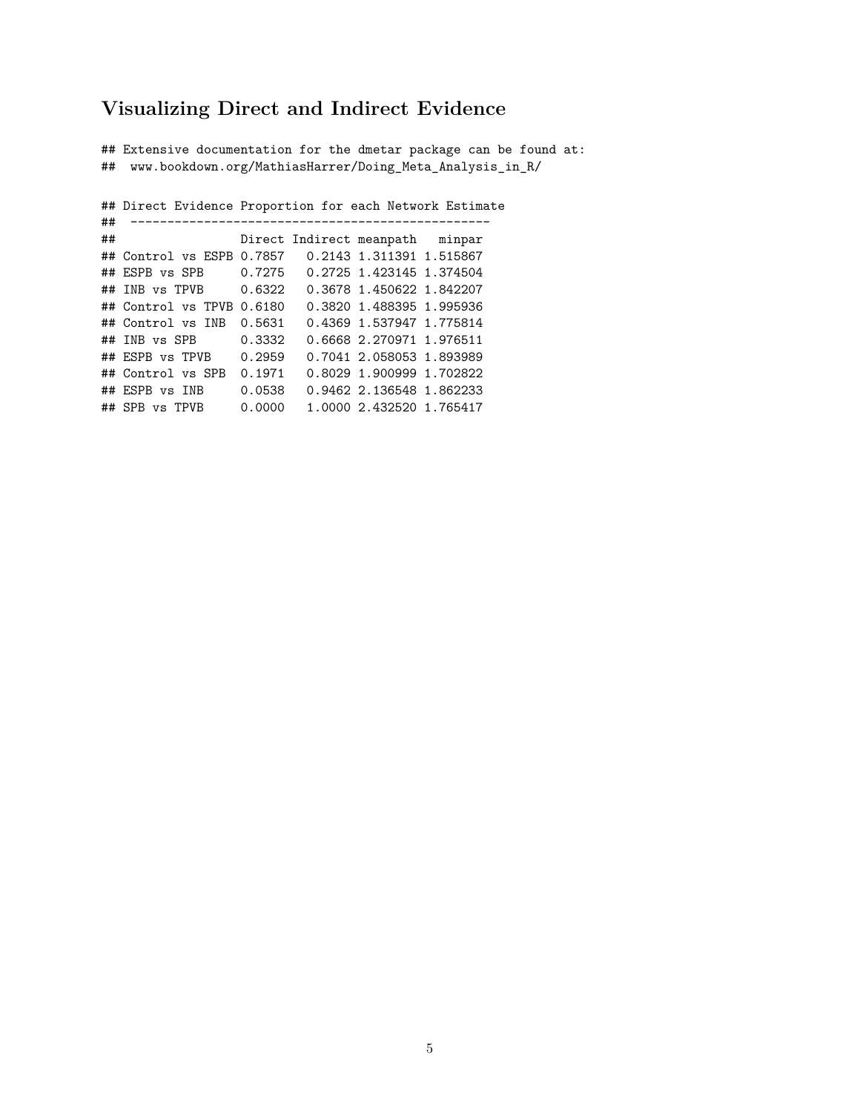### **Visualizing Direct and Indirect Evidence**

## Extensive documentation for the dmetar package can be found at: ## www.bookdown.org/MathiasHarrer/Doing\_Meta\_Analysis\_in\_R/

## Direct Evidence Proportion for each Network Estimate ## ------------------------------------------------- Direct Indirect meanpath minpar ## Control vs ESPB 0.7857 0.2143 1.311391 1.515867 ## ESPB vs SPB 0.7275 0.2725 1.423145 1.374504 ## INB vs TPVB 0.6322 0.3678 1.450622 1.842207 ## Control vs TPVB 0.6180 0.3820 1.488395 1.995936 ## Control vs INB 0.5631 0.4369 1.537947 1.775814 ## INB vs SPB 0.3332 0.6668 2.270971 1.976511 ## ESPB vs TPVB 0.2959 0.7041 2.058053 1.893989 ## Control vs SPB 0.1971 0.8029 1.900999 1.702822 ## ESPB vs INB 0.0538 0.9462 2.136548 1.862233 ## SPB vs TPVB 0.0000 1.0000 2.432520 1.765417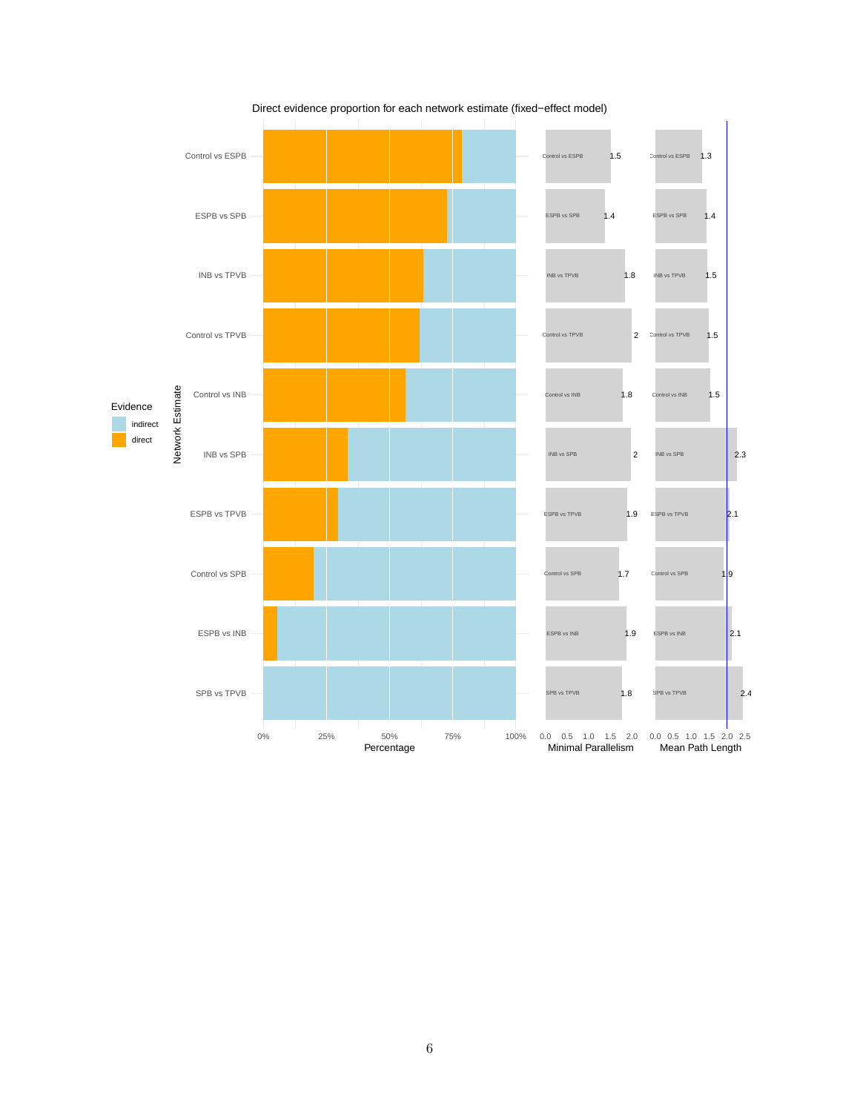

Direct evidence proportion for each network estimate (fixed−effect model)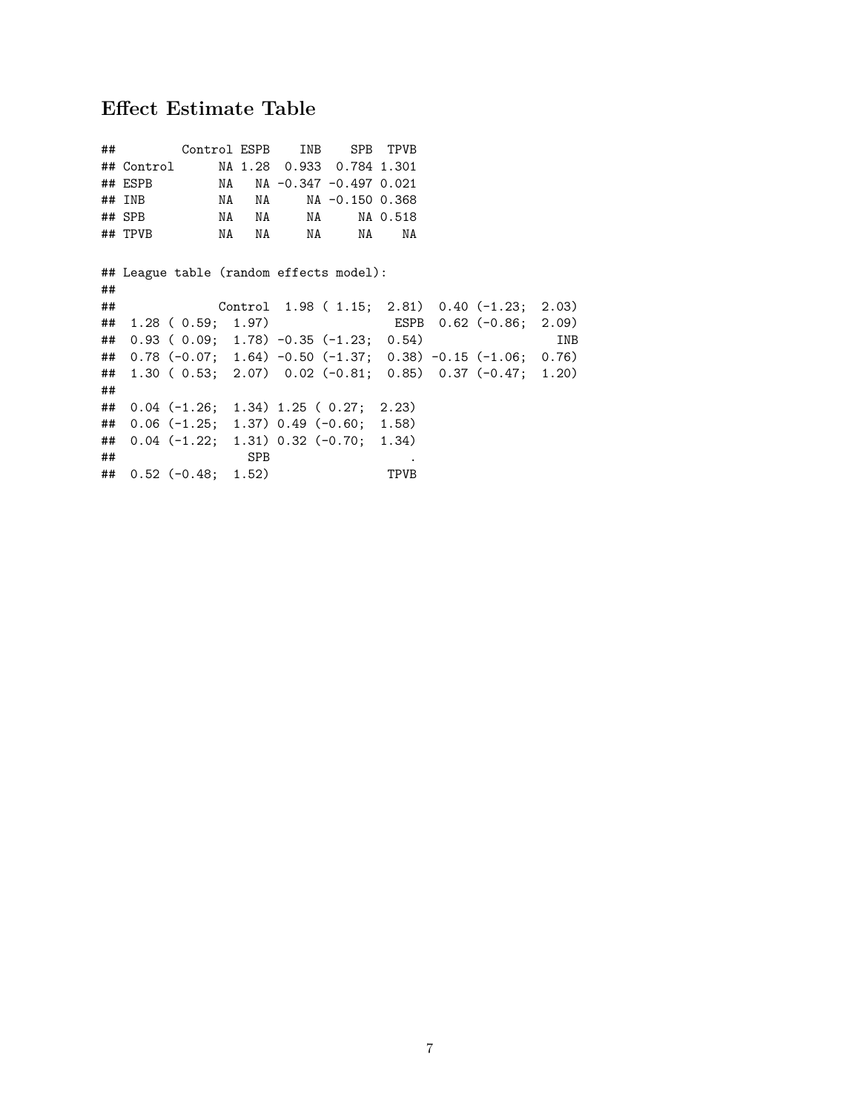## **Effect Estimate Table**

| ## |          |                           |          | Control ESPB INB SPB TPVB                         |          |                                                               |     |
|----|----------|---------------------------|----------|---------------------------------------------------|----------|---------------------------------------------------------------|-----|
|    |          |                           |          | ## Control MA 1.28 0.933 0.784 1.301              |          |                                                               |     |
|    |          |                           |          | ## ESPB NA NA -0.347 -0.497 0.021                 |          |                                                               |     |
|    | $##$ INB | NA                        | NA 1999. | NA -0.150 0.368                                   |          |                                                               |     |
|    | ## SPB   | NA NA                     |          | NA 1988.                                          | NA 0.518 |                                                               |     |
|    | ## TPVB  | NA NA                     |          | NA 1999.<br>NA                                    | NA       |                                                               |     |
|    |          |                           |          |                                                   |          |                                                               |     |
|    |          |                           |          | ## League table (random effects model):           |          |                                                               |     |
| ## |          |                           |          |                                                   |          |                                                               |     |
| ## |          |                           |          |                                                   |          | Control $1.98$ ( $1.15$ ; $2.81$ ) 0.40 (-1.23; $2.03$ )      |     |
|    |          | $\#$ 1.28 (0.59; 1.97)    |          |                                                   |          | ESPB 0.62 (-0.86; 2.09)                                       |     |
| ## |          |                           |          | $0.93$ ( $0.09; 1.78$ ) $-0.35$ ( $-1.23; 0.54$ ) |          |                                                               | INB |
|    |          |                           |          |                                                   |          | ## 0.78 (-0.07; 1.64) -0.50 (-1.37; 0.38) -0.15 (-1.06; 0.76) |     |
|    |          |                           |          |                                                   |          | ## 1.30 (0.53; 2.07) 0.02 (-0.81; 0.85) 0.37 (-0.47; 1.20)    |     |
| ## |          |                           |          |                                                   |          |                                                               |     |
|    |          |                           |          | ## $0.04$ (-1.26; 1.34) 1.25 (0.27; 2.23)         |          |                                                               |     |
| ## |          |                           |          | $0.06$ (-1.25; 1.37) 0.49 (-0.60; 1.58)           |          |                                                               |     |
|    |          |                           |          | ## $0.04$ (-1.22; 1.31) 0.32 (-0.70; 1.34)        |          |                                                               |     |
| ## |          | <b>SPB</b>                |          |                                                   |          |                                                               |     |
|    |          | $\#$ # 0.52 (-0.48; 1.52) |          |                                                   | TPVB     |                                                               |     |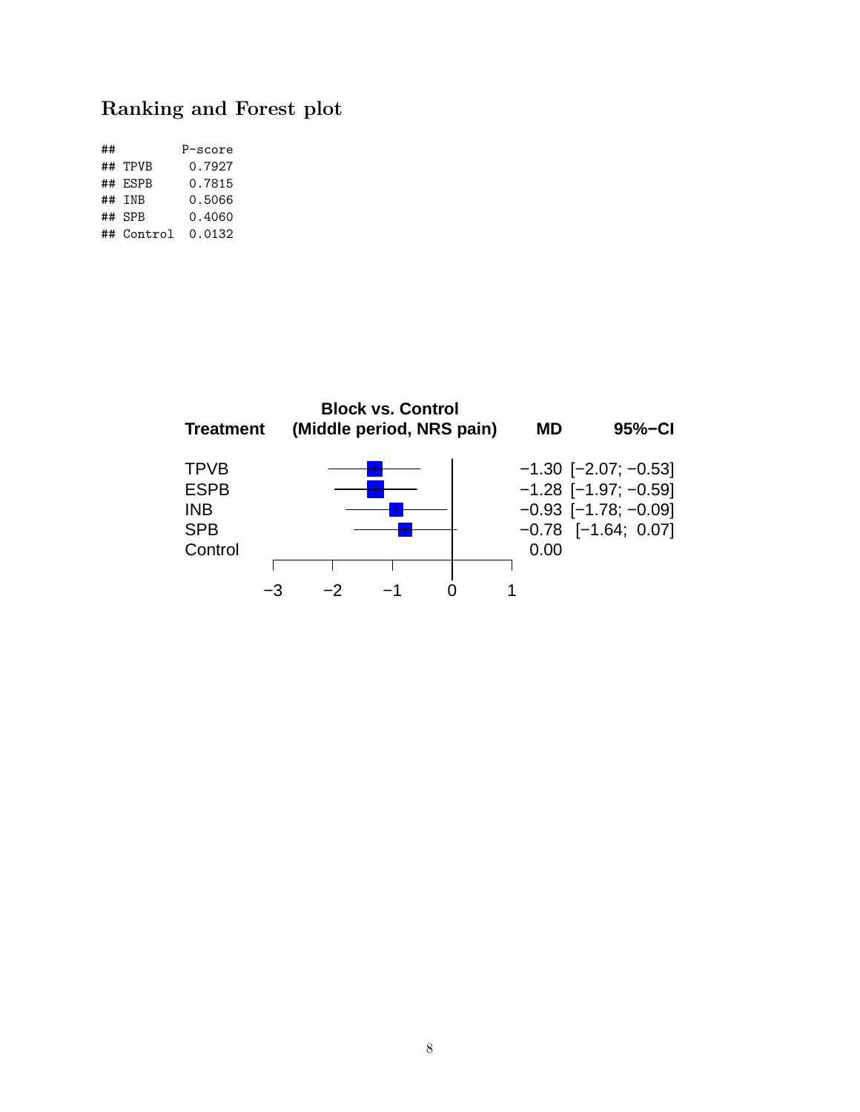## **Ranking and Forest plot**

| ## |            | P-score |
|----|------------|---------|
|    | ## TPVB    | 0.7927  |
|    | ## ESPB    | 0.7815  |
|    | ## INB     | 0.5066  |
|    | ## SPR     | 0.4060  |
|    | ## Control | 0.0132  |

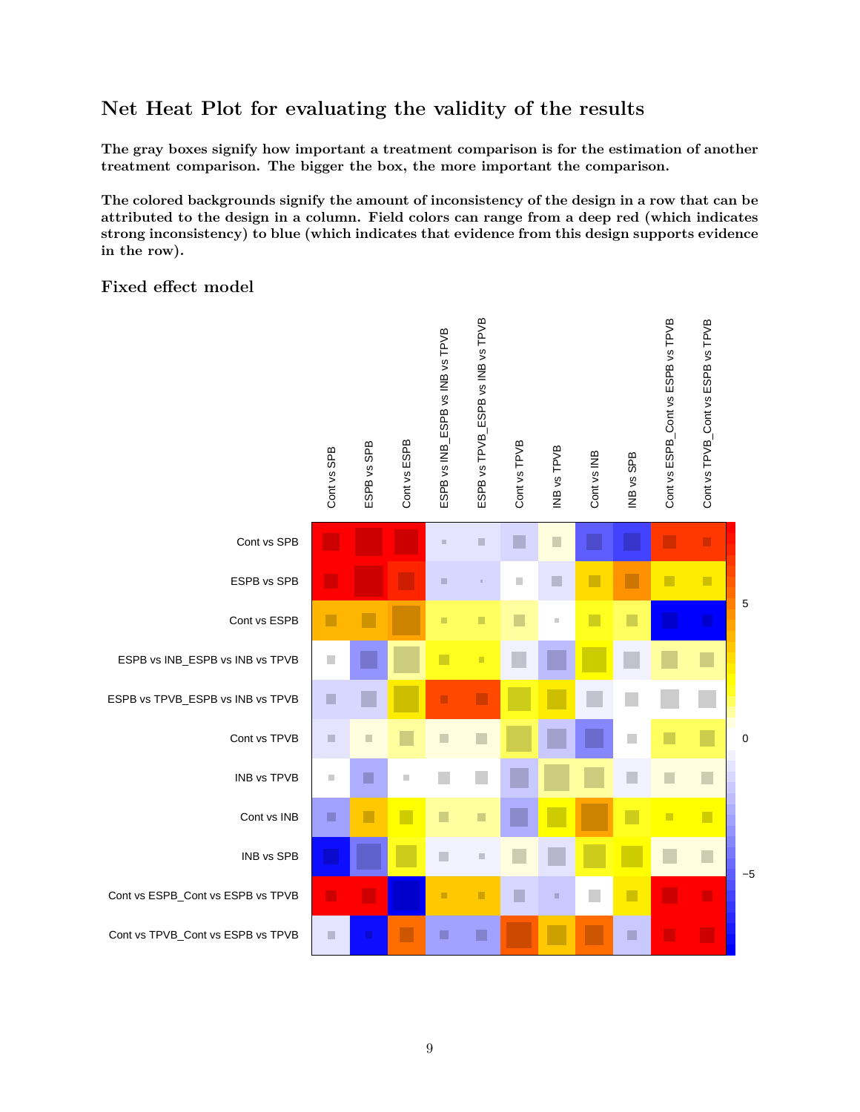### **Net Heat Plot for evaluating the validity of the results**

**The gray boxes signify how important a treatment comparison is for the estimation of another treatment comparison. The bigger the box, the more important the comparison.**

**The colored backgrounds signify the amount of inconsistency of the design in a row that can be attributed to the design in a column. Field colors can range from a deep red (which indicates strong inconsistency) to blue (which indicates that evidence from this design supports evidence in the row).**

#### **Fixed effect model**

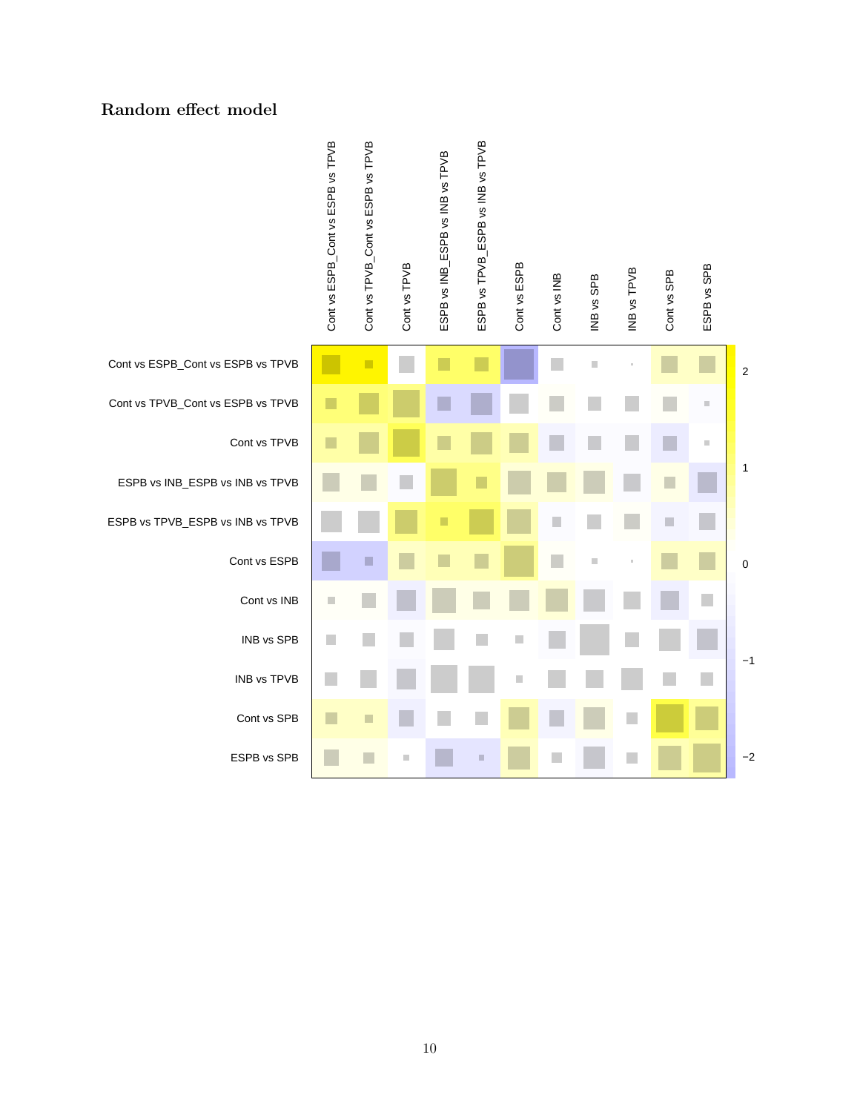#### **Random effect model**

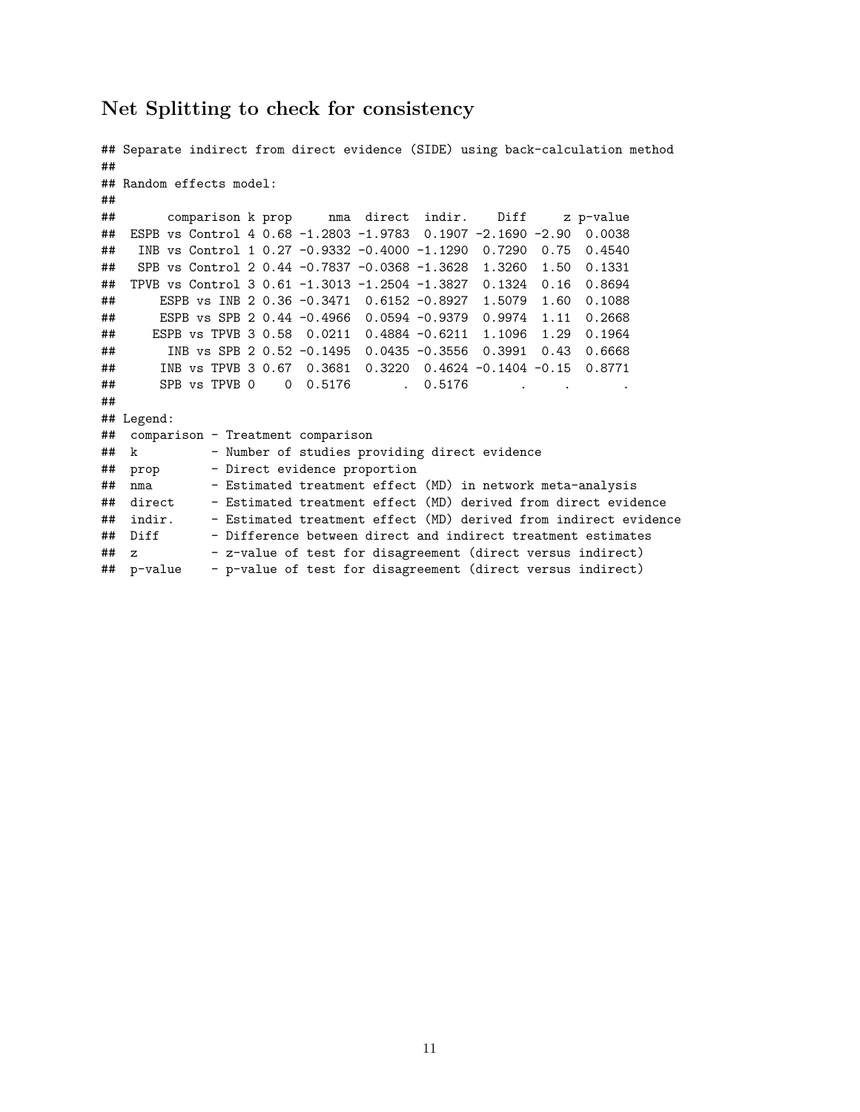#### **Net Splitting to check for consistency**

```
## Separate indirect from direct evidence (SIDE) using back-calculation method
##
## Random effects model:
##
## comparison k prop nma direct indir. Diff z p-value
## ESPB vs Control 4 0.68 -1.2803 -1.9783 0.1907 -2.1690 -2.90 0.0038
## INB vs Control 1 0.27 -0.9332 -0.4000 -1.1290 0.7290 0.75 0.4540
## SPB vs Control 2 0.44 -0.7837 -0.0368 -1.3628 1.3260 1.50 0.1331
## TPVB vs Control 3 0.61 -1.3013 -1.2504 -1.3827 0.1324 0.16 0.8694
## ESPB vs INB 2 0.36 -0.3471 0.6152 -0.8927 1.5079 1.60 0.1088
## ESPB vs SPB 2 0.44 -0.4966 0.0594 -0.9379 0.9974 1.11 0.2668
## ESPB vs TPVB 3 0.58 0.0211 0.4884 -0.6211 1.1096 1.29 0.1964
## INB vs SPB 2 0.52 -0.1495 0.0435 -0.3556 0.3991 0.43 0.6668
## INB vs TPVB 3 0.67 0.3681 0.3220 0.4624 -0.1404 -0.15 0.8771
## SPB vs TPVB 0 0 0.5176 . 0.5176 .
##
## Legend:
## comparison - Treatment comparison
## k - Number of studies providing direct evidence
## prop - Direct evidence proportion
## nma - Estimated treatment effect (MD) in network meta-analysis
## direct - Estimated treatment effect (MD) derived from direct evidence
## indir. - Estimated treatment effect (MD) derived from indirect evidence
## Diff - Difference between direct and indirect treatment estimates
## z - z-value of test for disagreement (direct versus indirect)
## p-value - p-value of test for disagreement (direct versus indirect)
```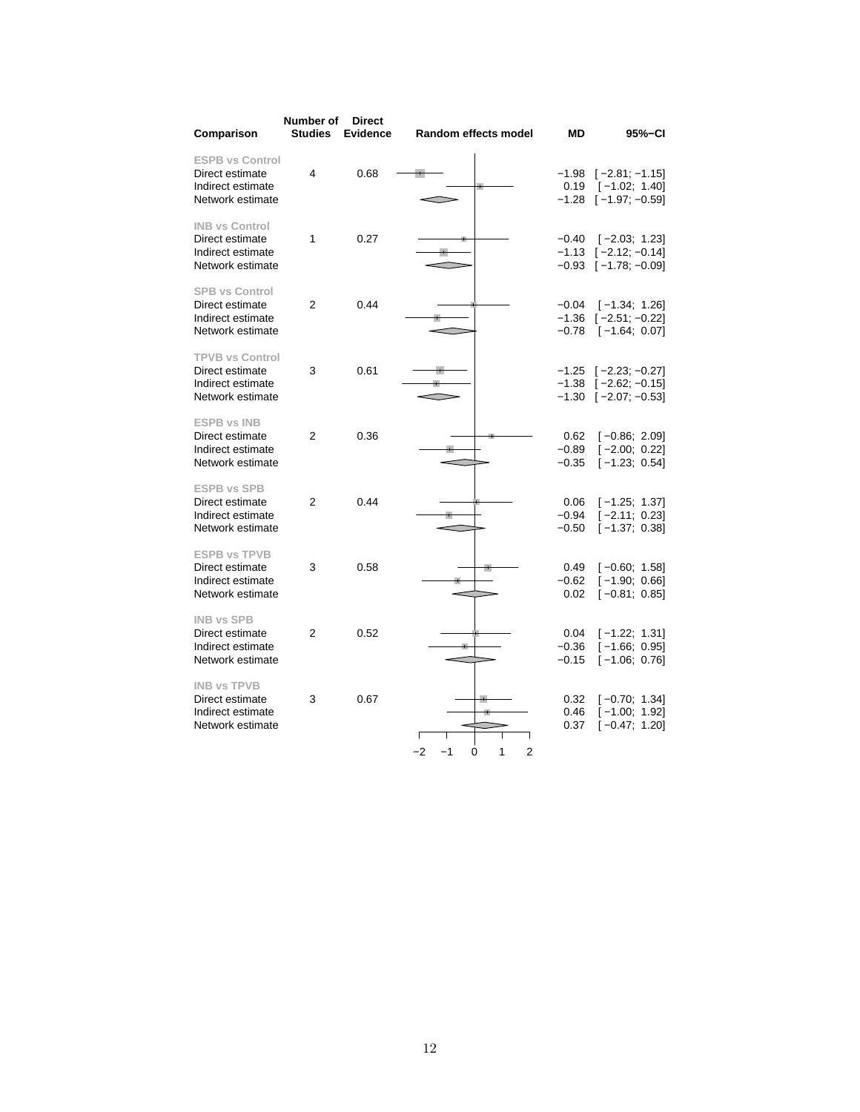| Comparison                                                                         | Number of<br><b>Studies</b> | <b>Direct</b><br><b>Evidence</b> | Random effects model                          | MD                            | 95%-CI                                                                                     |
|------------------------------------------------------------------------------------|-----------------------------|----------------------------------|-----------------------------------------------|-------------------------------|--------------------------------------------------------------------------------------------|
| <b>ESPB vs Control</b><br>Direct estimate<br>Indirect estimate<br>Network estimate | 4                           | 0.68                             |                                               | 0.19                          | $-1.98$ [ $-2.81$ ; $-1.15$ ]<br>$[-1.02; 1.40]$<br>$-1.28$ [ $-1.97$ ; $-0.59$ ]          |
| <b>INB vs Control</b><br>Direct estimate<br>Indirect estimate<br>Network estimate  | 1                           | 0.27                             |                                               | $-0.40$                       | $[-2.03; 1.23]$<br>$-1.13$ [ $-2.12$ ; $-0.14$ ]<br>$-0.93$ [ $-1.78$ ; $-0.09$ ]          |
| <b>SPB vs Control</b><br>Direct estimate<br>Indirect estimate<br>Network estimate  | 2                           | 0.44                             |                                               | $-0.04$<br>$-1.36$<br>$-0.78$ | $[-1.34; 1.26]$<br>$[-2.51; -0.22]$<br>$[-1.64; 0.07]$                                     |
| <b>TPVB vs Control</b><br>Direct estimate<br>Indirect estimate<br>Network estimate | 3                           | 0.61                             |                                               |                               | $-1.25$ [ $-2.23$ ; $-0.27$ ]<br>$-1.38$ [ $-2.62$ ; $-0.15$ ]<br>$-1.30$ $[-2.07; -0.53]$ |
| <b>ESPB vs INB</b><br>Direct estimate<br>Indirect estimate<br>Network estimate     | $\overline{2}$              | 0.36                             |                                               | 0.62<br>$-0.89$<br>$-0.35$    | $[-0.86; 2.09]$<br>$[-2.00; 0.22]$<br>$[-1.23; 0.54]$                                      |
| <b>ESPB vs SPB</b><br>Direct estimate<br>Indirect estimate<br>Network estimate     | 2                           | 0.44                             |                                               | 0.06<br>$-0.94$<br>$-0.50$    | $[-1.25; 1.37]$<br>$[-2.11; 0.23]$<br>$[-1.37; 0.38]$                                      |
| <b>ESPB vs TPVB</b><br>Direct estimate<br>Indirect estimate<br>Network estimate    | 3                           | 0.58                             |                                               | 0.49<br>$-0.62$<br>0.02       | $[-0.60; 1.58]$<br>$[-1.90; 0.66]$<br>$[-0.81; 0.85]$                                      |
| <b>INB vs SPB</b><br>Direct estimate<br>Indirect estimate<br>Network estimate      | 2                           | 0.52                             |                                               | 0.04<br>$-0.36$<br>$-0.15$    | $[-1.22; 1.31]$<br>$[-1.66; 0.95]$<br>$[-1.06; 0.76]$                                      |
| <b>INB vs TPVB</b><br>Direct estimate<br>Indirect estimate<br>Network estimate     | 3                           | 0.67                             | Г<br>$-2$<br>$-1$<br>1<br>$\overline{2}$<br>0 | 0.32<br>0.46<br>0.37          | $[-0.70; 1.34]$<br>$[-1.00; 1.92]$<br>$[-0.47; 1.20]$                                      |